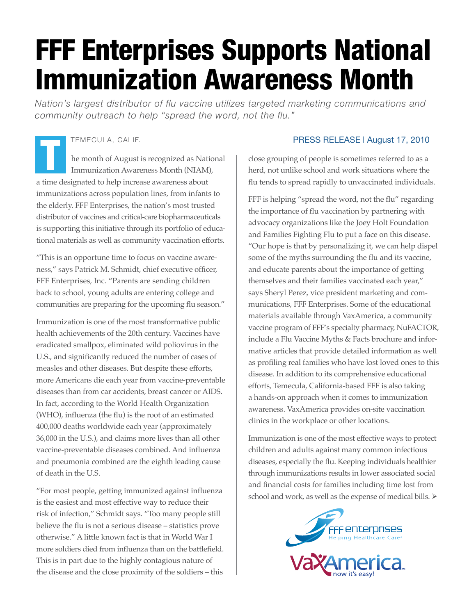# FFF Enterprises Supports National Immunization Awareness Month

*Nation's largest distributor of flu vaccine utilizes targeted marketing communications and community outreach to help "spread the word, not the flu."*

## TEMECULA, CALIF.

he month of August is recognized as National Immunization Awareness Month (NIAM), a time designated to help increase awareness about immunizations across population lines, from infants to the elderly. FFF Enterprises, the nation's most trusted distributor of vaccines and critical-care biopharmaceuticals is supporting this initiative through its portfolio of educational materials as well as community vaccination efforts. TEMECULA, CALIF. PRESS RELEASE | August 17, 2010<br>
he month of August is recognized as National<br>
Immunization Awareness Month (NIAM), cose grouping of people is sometimes referred to as a<br>
herd, not unlike school and work s

"This is an opportune time to focus on vaccine awareness," says Patrick M. Schmidt, chief executive officer, FFF Enterprises, Inc. "Parents are sending children back to school, young adults are entering college and communities are preparing for the upcoming flu season."

Immunization is one of the most transformative public health achievements of the 20th century. Vaccines have eradicated smallpox, eliminated wild poliovirus in the U.S., and significantly reduced the number of cases of measles and other diseases. But despite these efforts, more Americans die each year from vaccine-preventable diseases than from car accidents, breast cancer or AIDS. In fact, according to the World Health Organization (WHO), influenza (the flu) is the root of an estimated 400,000 deaths worldwide each year (approximately 36,000 in the U.S.), and claims more lives than all other vaccine-preventable diseases combined. And influenza and pneumonia combined are the eighth leading cause of death in the U.S.

"For most people, getting immunized against influenza is the easiest and most effective way to reduce their risk of infection," Schmidt says. "Too many people still believe the flu is not a serious disease – statistics prove otherwise." A little known fact is that in World War I more soldiers died from influenza than on the battlefield. This is in part due to the highly contagious nature of the disease and the close proximity of the soldiers – this

close grouping of people is sometimes referred to as a herd, not unlike school and work situations where the flu tends to spread rapidly to unvaccinated individuals.

FFF is helping "spread the word, not the flu" regarding the importance of flu vaccination by partnering with advocacy organizations like the Joey Holt Foundation and Families Fighting Flu to put a face on this disease. "Our hope is that by personalizing it, we can help dispel some of the myths surrounding the flu and its vaccine, and educate parents about the importance of getting themselves and their families vaccinated each year," says Sheryl Perez, vice president marketing and communications, FFF Enterprises. Some of the educational materials available through VaxAmerica, a community vaccine program of FFF's specialty pharmacy, NuFACTOR, include a Flu Vaccine Myths & Facts brochure and informative articles that provide detailed information as well as profiling real families who have lost loved ones to this disease. In addition to its comprehensive educational efforts, Temecula, California-based FFF is also taking a hands-on approach when it comes to immunization awareness. VaxAmerica provides on-site vaccination clinics in the workplace or other locations.

Immunization is one of the most effective ways to protect children and adults against many common infectious diseases, especially the flu. Keeping individuals healthier through immunizations results in lower associated social and financial costs for families including time lost from school and work, as well as the expense of medical bills.  $\triangleright$